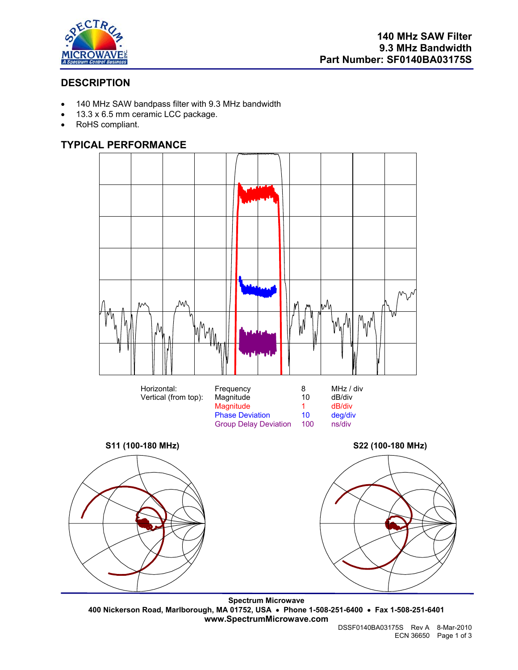

# **DESCRIPTION**

- 140 MHz SAW bandpass filter with 9.3 MHz bandwidth
- 13.3 x 6.5 mm ceramic LCC package.
- RoHS compliant.

### **TYPICAL PERFORMANCE**



**Spectrum Microwave 400 Nickerson Road, Marlborough, MA 01752, USA** • **Phone 1-508-251-6400** • **Fax 1-508-251-6401 www.SpectrumMicrowave.com**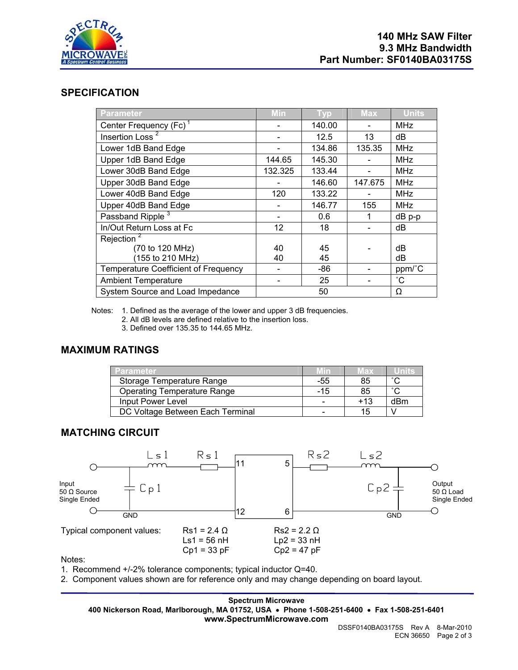

#### **SPECIFICATION**

| <b>Parameter</b>                            | <b>Min</b> | <b>Typ</b> | <b>Max</b> | <b>Units</b> |
|---------------------------------------------|------------|------------|------------|--------------|
| Center Frequency (Fc) <sup>1</sup>          |            | 140.00     |            | <b>MHz</b>   |
| Insertion Loss <sup>2</sup>                 |            | 12.5       | 13         | dВ           |
| Lower 1dB Band Edge                         |            | 134.86     | 135.35     | <b>MHz</b>   |
| Upper 1dB Band Edge                         | 144.65     | 145.30     |            | <b>MHz</b>   |
| Lower 30dB Band Edge                        | 132.325    | 133.44     |            | <b>MHz</b>   |
| Upper 30dB Band Edge                        |            | 146.60     | 147.675    | <b>MHz</b>   |
| Lower 40dB Band Edge                        | 120        | 133.22     |            | <b>MHz</b>   |
| Upper 40dB Band Edge                        |            | 146.77     | 155        | <b>MHz</b>   |
| Passband Ripple <sup>3</sup>                |            | 0.6        | 1          | $dB$ p-p     |
| In/Out Return Loss at Fc                    | 12         | 18         |            | dB           |
| Rejection <sup>2</sup>                      |            |            |            |              |
| (70 to 120 MHz)                             | 40         | 45         |            | dB           |
| 155 to 210 MHz)                             | 40         | 45         |            | dB           |
| <b>Temperature Coefficient of Frequency</b> |            | -86        |            | ppm/°C       |
| <b>Ambient Temperature</b>                  |            | 25         |            | °С           |
| System Source and Load Impedance            |            | 50         |            | Ω            |

Notes: 1. Defined as the average of the lower and upper 3 dB frequencies.

2. All dB levels are defined relative to the insertion loss.

3. Defined over 135.35 to 144.65 MHz.

#### **MAXIMUM RATINGS**

| Parameter.                         |                          | Max   |        |
|------------------------------------|--------------------------|-------|--------|
| Storage Temperature Range          | -55                      | 85    | $\sim$ |
| <b>Operating Temperature Range</b> | -15                      | 85    | $\sim$ |
| Input Power Level                  |                          | $+13$ | dBm    |
| DC Voltage Between Each Terminal   | $\overline{\phantom{0}}$ | 15    |        |

### **MATCHING CIRCUIT**



Notes:

1. Recommend +/-2% tolerance components; typical inductor Q=40.

2. Component values shown are for reference only and may change depending on board layout.

**Spectrum Microwave 400 Nickerson Road, Marlborough, MA 01752, USA** • **Phone 1-508-251-6400** • **Fax 1-508-251-6401 www.SpectrumMicrowave.com**